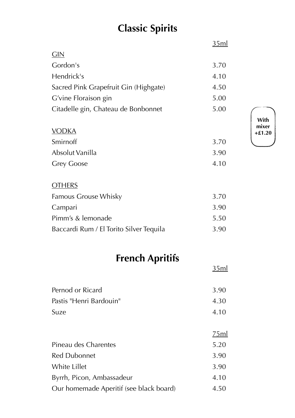# **Classic Spirits**

|                                         | <u>35ml</u> |
|-----------------------------------------|-------------|
| GIN                                     |             |
| Gordon's                                | 3.70        |
| Hendrick's                              | 4.10        |
| Sacred Pink Grapefruit Gin (Highgate)   | 4.50        |
| G'vine Floraison gin                    | 5.00        |
| Citadelle gin, Chateau de Bonbonnet     | 5.00        |
| <b>VODKA</b>                            |             |
| Smirnoff                                | 3.70        |
| Absolut Vanilla                         | 3.90        |
| <b>Grey Goose</b>                       | 4.10        |
| <b>OTHERS</b>                           |             |
| Famous Grouse Whisky                    | 3.70        |
| Campari                                 | 3.90        |
| Pimm's & lemonade                       | 5.50        |
| Baccardi Rum / El Torito Silver Tequila | 3.90        |
| <b>French Apritifs</b>                  |             |
|                                         | <u>35ml</u> |
| Pernod or Ricard                        | 3.90        |
| Doctic Longi Dardouin                   | 1.20        |

| Pernod or Ricard                        | 3.90        |
|-----------------------------------------|-------------|
| Pastis "Henri Bardouin"                 | 4.30        |
| Suze                                    | 4.10        |
|                                         |             |
|                                         | <u>75ml</u> |
| Pineau des Charentes                    | 5.20        |
| <b>Red Dubonnet</b>                     | 3.90        |
| White Lillet                            | 3.90        |
| Byrrh, Picon, Ambassadeur               | 4.10        |
| Our homemade Aperitif (see black board) | 4.50        |

**With mixer +£1.20**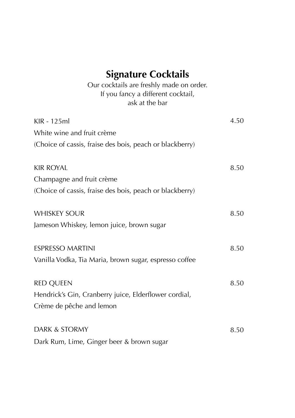# **Signature Cocktails**

Our cocktails are freshly made on order. If you fancy a different cocktail, ask at the bar

| KIR - 125ml<br>White wine and fruit crème<br>(Choice of cassis, fraise des bois, peach or blackberry)     | 4.50 |
|-----------------------------------------------------------------------------------------------------------|------|
| <b>KIR ROYAL</b><br>Champagne and fruit crème<br>(Choice of cassis, fraise des bois, peach or blackberry) | 8.50 |
| <b>WHISKEY SOUR</b><br>Jameson Whiskey, lemon juice, brown sugar                                          | 8.50 |
| <b>ESPRESSO MARTINI</b><br>Vanilla Vodka, Tia Maria, brown sugar, espresso coffee                         | 8.50 |
| <b>RED QUEEN</b><br>Hendrick's Gin, Cranberry juice, Elderflower cordial,<br>Crème de pêche and lemon     | 8.50 |
| DARK & STORMY<br>Dark Rum, Lime, Ginger beer & brown sugar                                                | 8.50 |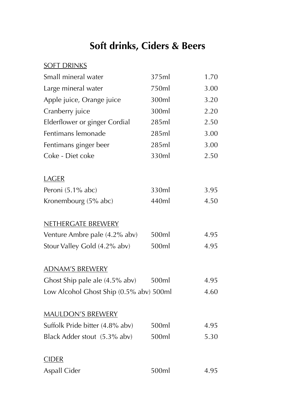### **Soft drinks, Ciders & Beers**

#### **SOFT DRINKS**

| Small mineral water                     | 375ml | 1.70 |
|-----------------------------------------|-------|------|
| Large mineral water                     | 750ml | 3.00 |
| Apple juice, Orange juice               | 300ml | 3.20 |
| Cranberry juice                         | 300ml | 2.20 |
| Elderflower or ginger Cordial           | 285ml | 2.50 |
| Fentimans lemonade                      | 285ml | 3.00 |
| Fentimans ginger beer                   | 285ml | 3.00 |
| Coke - Diet coke                        | 330ml | 2.50 |
| <b>LAGER</b>                            |       |      |
| Peroni (5.1% abc)                       | 330ml | 3.95 |
| Kronembourg (5% abc)                    | 440ml | 4.50 |
| <u>NETHERGATE BREWERY</u>               |       |      |
| Venture Ambre pale (4.2% abv)           | 500ml | 4.95 |
| Stour Valley Gold (4.2% abv)            | 500ml | 4.95 |
| <u>ADNAM'S BREWERY</u>                  |       |      |
| Ghost Ship pale ale (4.5% abv)          | 500ml | 4.95 |
| Low Alcohol Ghost Ship (0.5% abv) 500ml |       | 4.60 |
| <b>MAULDON'S BREWERY</b>                |       |      |
| Suffolk Pride bitter (4.8% abv)         | 500ml | 4.95 |
| Black Adder stout (5.3% abv)            | 500ml | 5.30 |
| <u>CIDER</u>                            |       |      |
| <b>Aspall Cider</b>                     | 500ml | 4.95 |